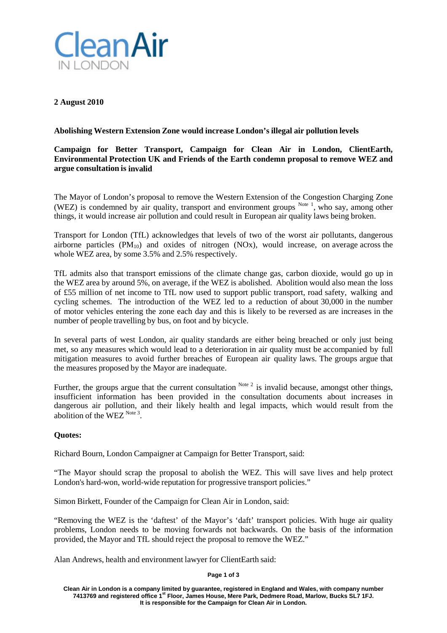

**2 August 2010**

## **Abolishing Western Extension Zone would increase London's illegal air pollution levels**

# **Campaign for Better Transport, Campaign for Clean Air in London, ClientEarth, Environmental Protection UK and Friends of the Earth condemn proposal to remove WEZ and argue consultation is invalid**

The Mayor of London's proposal to remove the Western Extension of the Congestion Charging Zone (WEZ) is condemned by air quality, transport and environment groups  $N<sup>ote 1</sup>$ , who say, among other things, it would increase air pollution and could result in European air quality laws being broken.

Transport for London (TfL) acknowledges that levels of two of the worst air pollutants, dangerous airborne particles  $(PM_{10})$  and oxides of nitrogen  $(NOx)$ , would increase, on average across the whole WEZ area, by some 3.5% and 2.5% respectively.

TfL admits also that transport emissions of the climate change gas, carbon dioxide, would go up in the WEZ area by around 5%, on average, if the WEZ is abolished. Abolition would also mean the loss of £55 million of net income to TfL now used to support public transport, road safety, walking and cycling schemes. The introduction of the WEZ led to a reduction of about 30,000 in the number of motor vehicles entering the zone each day and this is likely to be reversed as are increases in the number of people travelling by bus, on foot and by bicycle.

In several parts of west London, air quality standards are either being breached or only just being met, so any measures which would lead to a deterioration in air quality must be accompanied by full mitigation measures to avoid further breaches of European air quality laws. The groups argue that the measures proposed by the Mayor are inadequate.

Further, the groups argue that the current consultation  $^{Note 2}$  is invalid because, amongst other things, insufficient information has been provided in the consultation documents about increases in dangerous air pollution, and their likely health and legal impacts, which would result from the abolition of the WEZ  $\frac{Note 3}{.}$ 

### **Quotes:**

Richard Bourn, London Campaigner at Campaign for Better Transport, said:

"The Mayor should scrap the proposal to abolish the WEZ. This will save lives and help protect London's hard-won, world-wide reputation for progressive transport policies."

Simon Birkett, Founder of the Campaign for Clean Air in London, said:

"Removing the WEZ is the 'daftest' of the Mayor's 'daft' transport policies. With huge air quality problems, London needs to be moving forwards not backwards. On the basis of the information provided, the Mayor and TfL should reject the proposal to remove the WEZ."

Alan Andrews, health and environment lawyer for ClientEarth said:

### **Page 1 of 3**

**Clean Air in London is a company limited by guarantee, registered in England and Wales, with company number 7413769 and registered office 1st Floor, James House, Mere Park, Dedmere Road, Marlow, Bucks SL7 1FJ. It is responsible for the Campaign for Clean Air in London.**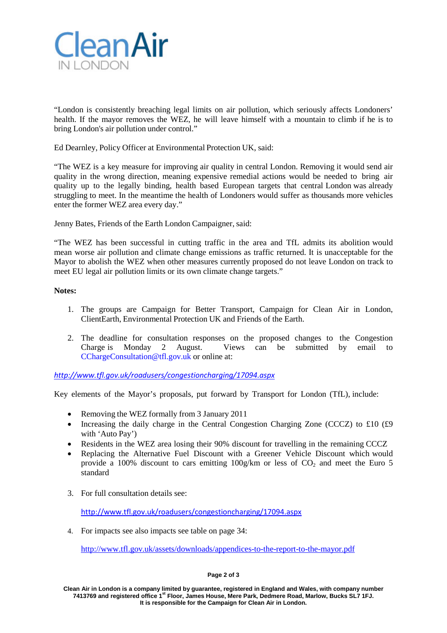

"London is consistently breaching legal limits on air pollution, which seriously affects Londoners' health. If the mayor removes the WEZ, he will leave himself with a mountain to climb if he is to bring London's air pollution under control."

Ed Dearnley, Policy Officer at Environmental Protection UK, said:

"The WEZ is a key measure for improving air quality in central London. Removing it would send air quality in the wrong direction, meaning expensive remedial actions would be needed to bring air quality up to the legally binding, health based European targets that central London was already struggling to meet. In the meantime the health of Londoners would suffer as thousands more vehicles enter the former WEZ area every day."

Jenny Bates, Friends of the Earth London Campaigner, said:

"The WEZ has been successful in cutting traffic in the area and TfL admits its abolition would mean worse air pollution and climate change emissions as traffic returned. It is unacceptable for the Mayor to abolish the WEZ when other measures currently proposed do not leave London on track to meet EU legal air pollution limits or its own climate change targets."

### **Notes:**

- 1. The groups are Campaign for Better Transport, Campaign for Clean Air in London, ClientEarth, Environmental Protection UK and Friends of the Earth.
- 2. The deadline for consultation responses on the proposed changes to the Congestion Charge is Monday 2 August. Views can be submitted by email to [CChargeConsultation@tfl.gov.uk](mailto:CChargeConsultation@tfl.gov.uk) or online at:

*<http://www.tfl.gov.uk/roadusers/congestioncharging/17094.aspx>*

Key elements of the Mayor's proposals, put forward by Transport for London (TfL), include:

- Removing the WEZ formally from 3 January 2011
- Increasing the daily charge in the Central Congestion Charging Zone (CCCZ) to £10 (£9 with 'Auto Pay')
- Residents in the WEZ area losing their 90% discount for travelling in the remaining CCCZ
- Replacing the Alternative Fuel Discount with a Greener Vehicle Discount which would provide a 100% discount to cars emitting  $100g/\text{km}$  or less of CO<sub>2</sub> and meet the Euro 5 standard
- 3. For full consultation details see:

<http://www.tfl.gov.uk/roadusers/congestioncharging/17094.aspx>

4. For impacts see also impacts see table on page 34:

<http://www.tfl.gov.uk/assets/downloads/appendices-to-the-report-to-the-mayor.pdf>

#### **Page 2 of 3**

**Clean Air in London is a company limited by guarantee, registered in England and Wales, with company number 7413769 and registered office 1st Floor, James House, Mere Park, Dedmere Road, Marlow, Bucks SL7 1FJ. It is responsible for the Campaign for Clean Air in London.**